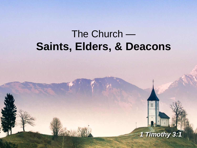# The Church — **Saints, Elders, & Deacons**

*1 Timothy 3:1*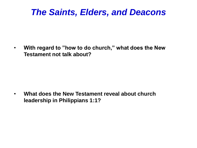# *The Saints, Elders, and Deacons*

• **With regard to "how to do church," what does the New Testament not talk about?**

• **What does the New Testament reveal about church leadership in Philippians 1:1?**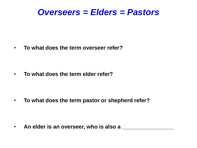#### *Overseers = Elders = Pastors*

• **To what does the term overseer refer?**

• **To what does the term elder refer?**

• **To what does the term pastor or shepherd refer?**

• **An elder is an overseer, who is also a \_\_\_\_\_\_\_\_\_\_\_\_\_\_\_\_\_**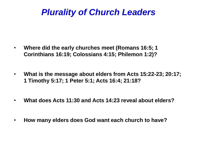# *Plurality of Church Leaders*

- **Where did the early churches meet (Romans 16:5; 1 Corinthians 16:19; Colossians 4:15; Philemon 1:2)?**
- **What is the message about elders from Acts 15:22-23; 20:17; 1 Timothy 5:17; 1 Peter 5:1; Acts 16:4; 21:18?**
- **What does Acts 11:30 and Acts 14:23 reveal about elders?**
- **How many elders does God want each church to have?**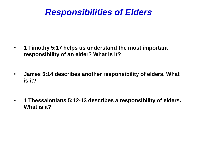# *Responsibilities of Elders*

- **1 Timothy 5:17 helps us understand the most important responsibility of an elder? What is it?**
- **James 5:14 describes another responsibility of elders. What is it?**
- **1 Thessalonians 5:12-13 describes a responsibility of elders. What is it?**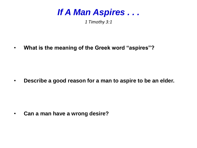

*1 Timothy 3:1*

• **What is the meaning of the Greek word "aspires"?** 

• **Describe a good reason for a man to aspire to be an elder.**

• **Can a man have a wrong desire?**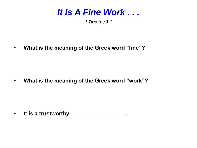

*1 Timothy 3:1*

• **What is the meaning of the Greek word "fine"?** 

• **What is the meaning of the Greek word "work"?** 

• **It is a trustworthy \_\_\_\_\_\_\_\_\_\_\_\_\_\_\_\_\_\_.**